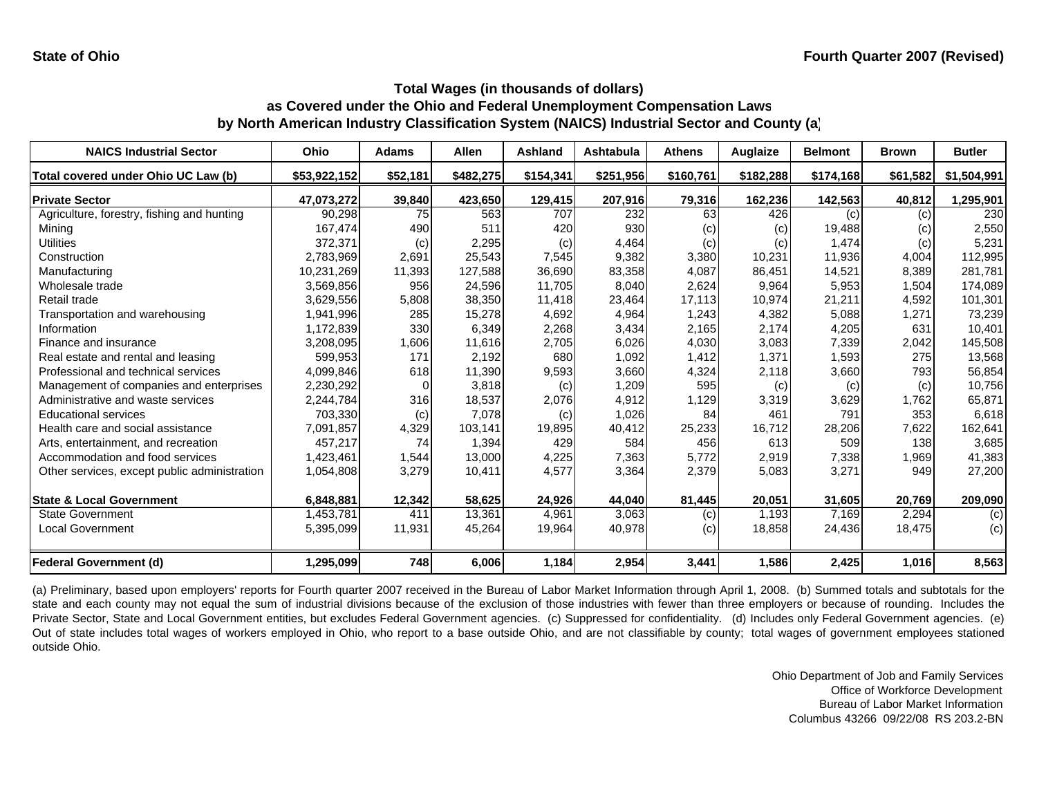| <b>NAICS Industrial Sector</b>               | Ohio         | <b>Adams</b> | <b>Allen</b> | Ashland   | Ashtabula | <b>Athens</b> | Auglaize  | <b>Belmont</b> | <b>Brown</b> | <b>Butler</b> |
|----------------------------------------------|--------------|--------------|--------------|-----------|-----------|---------------|-----------|----------------|--------------|---------------|
| Total covered under Ohio UC Law (b)          | \$53,922,152 | \$52,181     | \$482,275    | \$154,341 | \$251,956 | \$160,761     | \$182,288 | \$174,168      | \$61,582     | \$1,504,991   |
| <b>Private Sector</b>                        | 47,073,272   | 39,840       | 423,650      | 129,415   | 207,916   | 79,316        | 162,236   | 142,563        | 40,812       | 1,295,901     |
| Agriculture, forestry, fishing and hunting   | 90,298       | 75           | 563          | 707       | 232       | 63            | 426       | (c)            | (c)          | 230           |
| Mining                                       | 167,474      | 490          | 511          | 420       | 930       | (c)           | (c)       | 19,488         | (c)          | 2,550         |
| Utilities                                    | 372,371      | (c)          | 2,295        | (c)       | 4,464     | (c)           | (c)       | 1,474          | (c)          | 5,231         |
| Construction                                 | 2,783,969    | 2,691        | 25,543       | 7,545     | 9,382     | 3,380         | 10,231    | 11,936         | 4,004        | 112,995       |
| Manufacturing                                | 10,231,269   | 11,393       | 127,588      | 36,690    | 83,358    | 4,087         | 86,451    | 14,521         | 8,389        | 281,781       |
| Wholesale trade                              | 3,569,856    | 956          | 24,596       | 11.705    | 8,040     | 2,624         | 9,964     | 5,953          | 1,504        | 174,089       |
| Retail trade                                 | 3,629,556    | 5,808        | 38,350       | 11,418    | 23,464    | 17,113        | 10,974    | 21,211         | 4,592        | 101,301       |
| Transportation and warehousing               | 1,941,996    | 285          | 15,278       | 4,692     | 4,964     | 1,243         | 4,382     | 5,088          | 1,271        | 73,239        |
| Information                                  | 1,172,839    | 330          | 6,349        | 2,268     | 3,434     | 2,165         | 2,174     | 4,205          | 631          | 10,401        |
| Finance and insurance                        | 3,208,095    | 1,606        | 11,616       | 2,705     | 6,026     | 4,030         | 3,083     | 7,339          | 2,042        | 145,508       |
| Real estate and rental and leasing           | 599,953      | 171          | 2,192        | 680       | 1,092     | 1,412         | 1,371     | 1,593          | 275          | 13,568        |
| Professional and technical services          | 4,099,846    | 618          | 11,390       | 9,593     | 3,660     | 4,324         | 2,118     | 3,660          | 793          | 56,854        |
| Management of companies and enterprises      | 2,230,292    | $\Omega$     | 3,818        | (c)       | 1,209     | 595           | (c)       | (c)            | (c)          | 10,756        |
| Administrative and waste services            | 2,244,784    | 316          | 18,537       | 2,076     | 4,912     | 1,129         | 3,319     | 3,629          | 1,762        | 65,871        |
| <b>Educational services</b>                  | 703,330      | (c)          | 7,078        | (c)       | 1,026     | 84            | 461       | 791            | 353          | 6,618         |
| Health care and social assistance            | 7,091,857    | 4,329        | 103.141      | 19,895    | 40,412    | 25,233        | 16.712    | 28,206         | 7,622        | 162,641       |
| Arts, entertainment, and recreation          | 457,217      | 74           | 1,394        | 429       | 584       | 456           | 613       | 509            | 138          | 3,685         |
| Accommodation and food services              | 1,423,461    | 1,544        | 13,000       | 4,225     | 7,363     | 5,772         | 2,919     | 7,338          | 1,969        | 41,383        |
| Other services, except public administration | 1,054,808    | 3,279        | 10,411       | 4,577     | 3,364     | 2,379         | 5,083     | 3,271          | 949          | 27,200        |
| <b>State &amp; Local Government</b>          | 6,848,881    | 12,342       | 58,625       | 24,926    | 44.040    | 81,445        | 20,051    | 31,605         | 20,769       | 209,090       |
| <b>State Government</b>                      | 1,453,781    | 411          | 13,361       | 4,961     | 3,063     | (c)           | 1,193     | 7,169          | 2,294        | (c)           |
| <b>Local Government</b>                      | 5,395,099    | 11,931       | 45,264       | 19,964    | 40,978    | (c)           | 18,858    | 24,436         | 18,475       | (c)           |
| Federal Government (d)                       | 1,295,099    | 748          | 6.006        | 1,184     | 2,954     | 3,441         | 1.586     | 2,425          | 1.016        | 8,563         |

(a) Preliminary, based upon employers' reports for Fourth quarter 2007 received in the Bureau of Labor Market Information through April 1, 2008. (b) Summed totals and subtotals for the state and each county may not equal the sum of industrial divisions because of the exclusion of those industries with fewer than three employers or because of rounding. Includes the Private Sector, State and Local Government entities, but excludes Federal Government agencies. (c) Suppressed for confidentiality. (d) Includes only Federal Government agencies. (e) Out of state includes total wages of workers employed in Ohio, who report to <sup>a</sup> base outside Ohio, and are not classifiable by county; total wages of government employees stationed outside Ohio.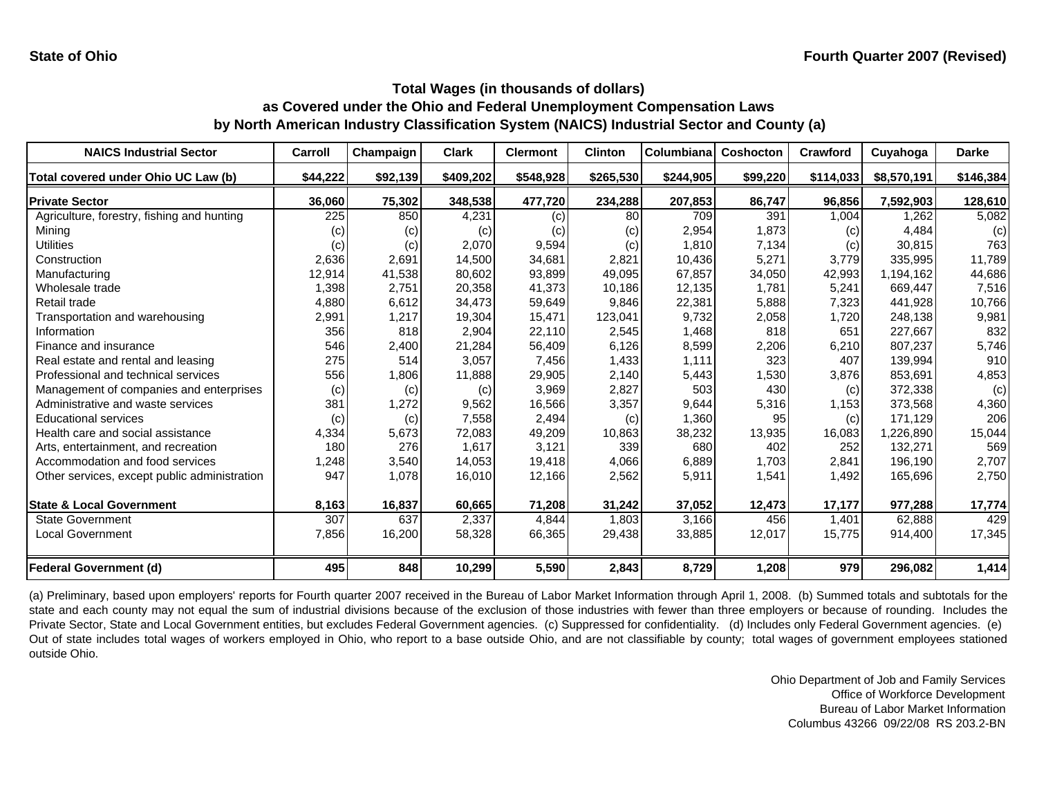| <b>NAICS Industrial Sector</b>               | Carroll           | Champaign | <b>Clark</b> | <b>Clermont</b> | <b>Clinton</b> | Columbiana | <b>Coshocton</b> | <b>Crawford</b> | Cuyahoga    | <b>Darke</b> |
|----------------------------------------------|-------------------|-----------|--------------|-----------------|----------------|------------|------------------|-----------------|-------------|--------------|
| Total covered under Ohio UC Law (b)          | \$44,222          | \$92,139  | \$409,202    | \$548,928       | \$265,530      | \$244,905  | \$99,220         | \$114,033       | \$8,570,191 | \$146,384    |
| <b>Private Sector</b>                        | 36,060            | 75,302    | 348,538      | 477,720         | 234,288        | 207,853    | 86,747           | 96,856          | 7.592.903   | 128,610      |
| Agriculture, forestry, fishing and hunting   | 225               | 850       | 4,231        | (c)             | 80             | 709        | 391              | 1,004           | 1,262       | 5,082        |
| Minina                                       | $\left( c\right)$ | (c)       | (c)          | (c)             | (c)            | 2,954      | 1,873            | (c)             | 4,484       | (c)          |
| <b>Utilities</b>                             | (c)               | (c)       | 2,070        | 9,594           | (c)            | 1,810      | 7,134            | (c)             | 30,815      | 763          |
| Construction                                 | 2,636             | 2,691     | 14.500       | 34.681          | 2,821          | 10,436     | 5,271            | 3,779           | 335.995     | 11,789       |
| Manufacturing                                | 12,914            | 41,538    | 80.602       | 93,899          | 49,095         | 67,857     | 34,050           | 42,993          | 1,194,162   | 44,686       |
| Wholesale trade                              | 1,398             | 2,751     | 20,358       | 41,373          | 10,186         | 12,135     | 1.781            | 5,241           | 669.447     | 7,516        |
| Retail trade                                 | 4,880             | 6,612     | 34,473       | 59,649          | 9,846          | 22,381     | 5,888            | 7,323           | 441.928     | 10,766       |
| Transportation and warehousing               | 2,991             | 1,217     | 19,304       | 15,471          | 123,041        | 9,732      | 2,058            | 1,720           | 248,138     | 9,981        |
| Information                                  | 356               | 818       | 2,904        | 22,110          | 2,545          | 1,468      | 818              | 651             | 227.667     | 832          |
| Finance and insurance                        | 546               | 2,400     | 21,284       | 56,409          | 6,126          | 8,599      | 2,206            | 6,210           | 807,237     | 5,746        |
| Real estate and rental and leasing           | 275               | 514       | 3,057        | 7,456           | 1,433          | 1,111      | 323              | 407             | 139,994     | 910          |
| Professional and technical services          | 556               | 1,806     | 11,888       | 29,905          | 2,140          | 5,443      | 1,530            | 3,876           | 853,691     | 4,853        |
| Management of companies and enterprises      | (c)               | (c)       | (c)          | 3,969           | 2,827          | 503        | 430              | (c)             | 372,338     | (c)          |
| Administrative and waste services            | 381               | 1,272     | 9,562        | 16,566          | 3,357          | 9,644      | 5,316            | 1,153           | 373,568     | 4,360        |
| <b>Educational services</b>                  | (c)               | (c)       | 7,558        | 2,494           | (c)            | 1,360      | 95               | (c)             | 171,129     | 206          |
| Health care and social assistance            | 4,334             | 5,673     | 72,083       | 49,209          | 10,863         | 38,232     | 13,935           | 16,083          | ,226,890    | 15,044       |
| Arts, entertainment, and recreation          | 180               | 276       | 1,617        | 3,121           | 339            | 680        | 402              | 252             | 132,271     | 569          |
| Accommodation and food services              | 1,248             | 3,540     | 14,053       | 19,418          | 4,066          | 6,889      | 1,703            | 2,841           | 196,190     | 2,707        |
| Other services, except public administration | 947               | 1,078     | 16,010       | 12,166          | 2,562          | 5,911      | 1,541            | 1,492           | 165,696     | 2,750        |
| <b>State &amp; Local Government</b>          | 8,163             | 16,837    | 60,665       | 71,208          | 31,242         | 37,052     | 12,473           | 17,177          | 977,288     | 17,774       |
| <b>State Government</b>                      | 307               | 637       | 2,337        | 4,844           | 1,803          | 3,166      | 456              | 1,401           | 62,888      | 429          |
| <b>Local Government</b>                      | 7,856             | 16,200    | 58,328       | 66,365          | 29,438         | 33,885     | 12,017           | 15,775          | 914,400     | 17,345       |
| <b>Federal Government (d)</b>                | 495               | 848       | 10,299       | 5,590           | 2,843          | 8,729      | 1,208            | 979             | 296,082     | 1,414        |

(a) Preliminary, based upon employers' reports for Fourth quarter 2007 received in the Bureau of Labor Market Information through April 1, 2008. (b) Summed totals and subtotals for the state and each county may not equal the sum of industrial divisions because of the exclusion of those industries with fewer than three employers or because of rounding. Includes the Private Sector, State and Local Government entities, but excludes Federal Government agencies. (c) Suppressed for confidentiality. (d) Includes only Federal Government agencies. (e) Out of state includes total wages of workers employed in Ohio, who report to <sup>a</sup> base outside Ohio, and are not classifiable by county; total wages of government employees stationed outside Ohio.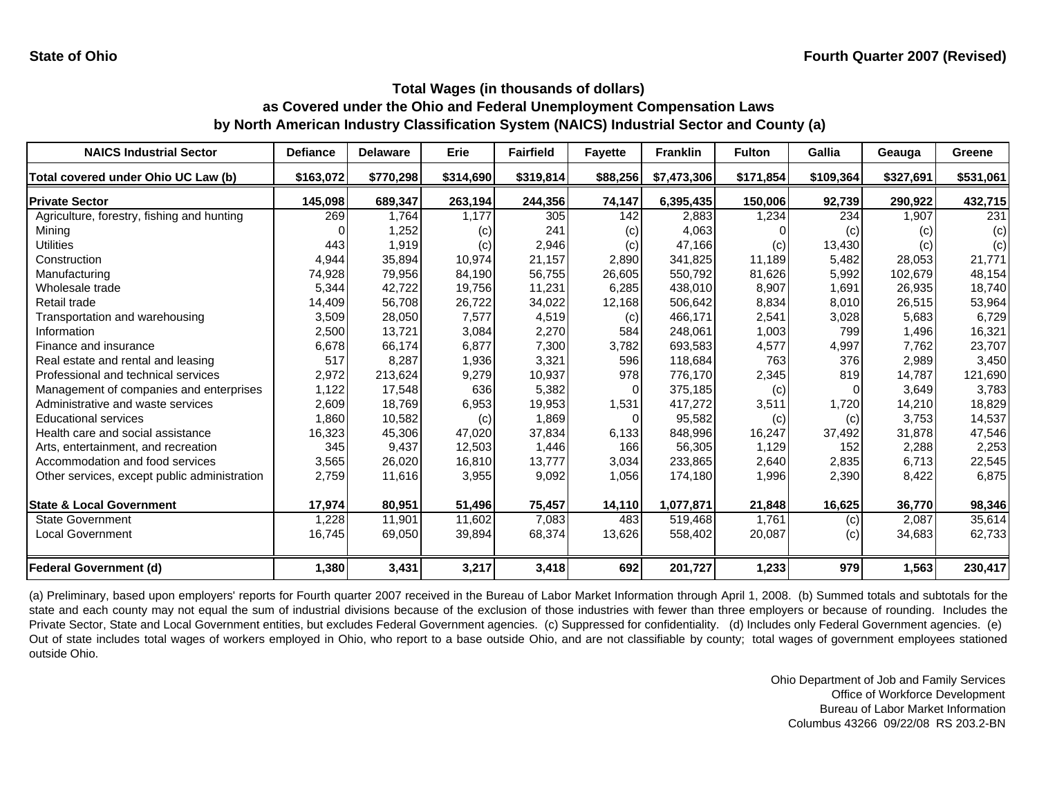| <b>NAICS Industrial Sector</b>               | <b>Defiance</b> | <b>Delaware</b> | Erie      | <b>Fairfield</b> | <b>Fayette</b> | <b>Franklin</b> | <b>Fulton</b> | Gallia    | Geauga    | <b>Greene</b> |
|----------------------------------------------|-----------------|-----------------|-----------|------------------|----------------|-----------------|---------------|-----------|-----------|---------------|
| Total covered under Ohio UC Law (b)          | \$163,072       | \$770,298       | \$314,690 | \$319,814        | \$88,256       | \$7,473,306     | \$171,854     | \$109,364 | \$327,691 | \$531,061     |
| <b>Private Sector</b>                        | 145,098         | 689,347         | 263,194   | 244,356          | 74,147         | 6,395,435       | 150,006       | 92,739    | 290,922   | 432,715       |
| Agriculture, forestry, fishing and hunting   | 269             | 1,764           | 1,177     | 305              | 142            | 2,883           | ,234          | 234       | 1,907     | 231           |
| Mining                                       |                 | 1,252           | (c)       | 241              | (c)            | 4,063           |               | (c)       | (c)       | (c)           |
| Utilities                                    | 443             | 1,919           | (c)       | 2,946            | (c)            | 47,166          | (c)           | 13,430    | (c)       | (c)           |
| Construction                                 | 4,944           | 35,894          | 10,974    | 21,157           | 2,890          | 341,825         | 11,189        | 5,482     | 28,053    | 21,771        |
| Manufacturing                                | 74,928          | 79,956          | 84,190    | 56,755           | 26,605         | 550,792         | 81,626        | 5,992     | 102,679   | 48,154        |
| Wholesale trade                              | 5,344           | 42,722          | 19,756    | 11,231           | 6,285          | 438,010         | 8,907         | 1,691     | 26,935    | 18,740        |
| Retail trade                                 | 14,409          | 56,708          | 26,722    | 34,022           | 12,168         | 506,642         | 8,834         | 8,010     | 26,515    | 53,964        |
| Transportation and warehousing               | 3,509           | 28,050          | 7,577     | 4,519            | (c)            | 466,171         | 2,541         | 3,028     | 5,683     | 6,729         |
| Information                                  | 2,500           | 13,721          | 3,084     | 2,270            | 584            | 248,061         | 1,003         | 799       | 1,496     | 16,321        |
| Finance and insurance                        | 6,678           | 66,174          | 6,877     | 7,300            | 3,782          | 693,583         | 4,577         | 4,997     | 7,762     | 23,707        |
| Real estate and rental and leasing           | 517             | 8,287           | 1,936     | 3,321            | 596            | 118,684         | 763           | 376       | 2,989     | 3,450         |
| Professional and technical services          | 2,972           | 213,624         | 9,279     | 10,937           | 978            | 776,170         | 2,345         | 819       | 14,787    | 121,690       |
| Management of companies and enterprises      | 1,122           | 17,548          | 636       | 5,382            |                | 375,185         | (c)           | O         | 3,649     | 3,783         |
| Administrative and waste services            | 2,609           | 18,769          | 6,953     | 19,953           | 1,531          | 417,272         | 3,511         | 1,720     | 14,210    | 18,829        |
| <b>Educational services</b>                  | 1,860           | 10,582          | (c)       | 1,869            | $\Omega$       | 95,582          | (c)           | (c)       | 3,753     | 14,537        |
| Health care and social assistance            | 16,323          | 45,306          | 47,020    | 37,834           | 6,133          | 848,996         | 16,247        | 37,492    | 31,878    | 47,546        |
| Arts, entertainment, and recreation          | 345             | 9,437           | 12,503    | 1,446            | 166            | 56,305          | 1,129         | 152       | 2,288     | 2,253         |
| Accommodation and food services              | 3,565           | 26,020          | 16,810    | 13,777           | 3,034          | 233,865         | 2,640         | 2,835     | 6,713     | 22,545        |
| Other services, except public administration | 2,759           | 11,616          | 3,955     | 9,092            | 1,056          | 174,180         | 1,996         | 2,390     | 8,422     | 6,875         |
| <b>State &amp; Local Government</b>          | 17,974          | 80,951          | 51,496    | 75,457           | 14,110         | 1,077,871       | 21,848        | 16,625    | 36,770    | 98,346        |
| <b>State Government</b>                      | 1,228           | 11,901          | 11,602    | 7,083            | 483            | 519,468         | 1,761         | (c)       | 2,087     | 35,614        |
| Local Government                             | 16,745          | 69,050          | 39,894    | 68,374           | 13,626         | 558,402         | 20,087        | (c)       | 34,683    | 62,733        |
| <b>Federal Government (d)</b>                | 1,380           | 3,431           | 3,217     | 3,418            | 692            | 201,727         | 1,233         | 979       | 1,563     | 230,417       |

(a) Preliminary, based upon employers' reports for Fourth quarter 2007 received in the Bureau of Labor Market Information through April 1, 2008. (b) Summed totals and subtotals for the state and each county may not equal the sum of industrial divisions because of the exclusion of those industries with fewer than three employers or because of rounding. Includes the Private Sector, State and Local Government entities, but excludes Federal Government agencies. (c) Suppressed for confidentiality. (d) Includes only Federal Government agencies. (e) Out of state includes total wages of workers employed in Ohio, who report to <sup>a</sup> base outside Ohio, and are not classifiable by county; total wages of government employees stationed outside Ohio.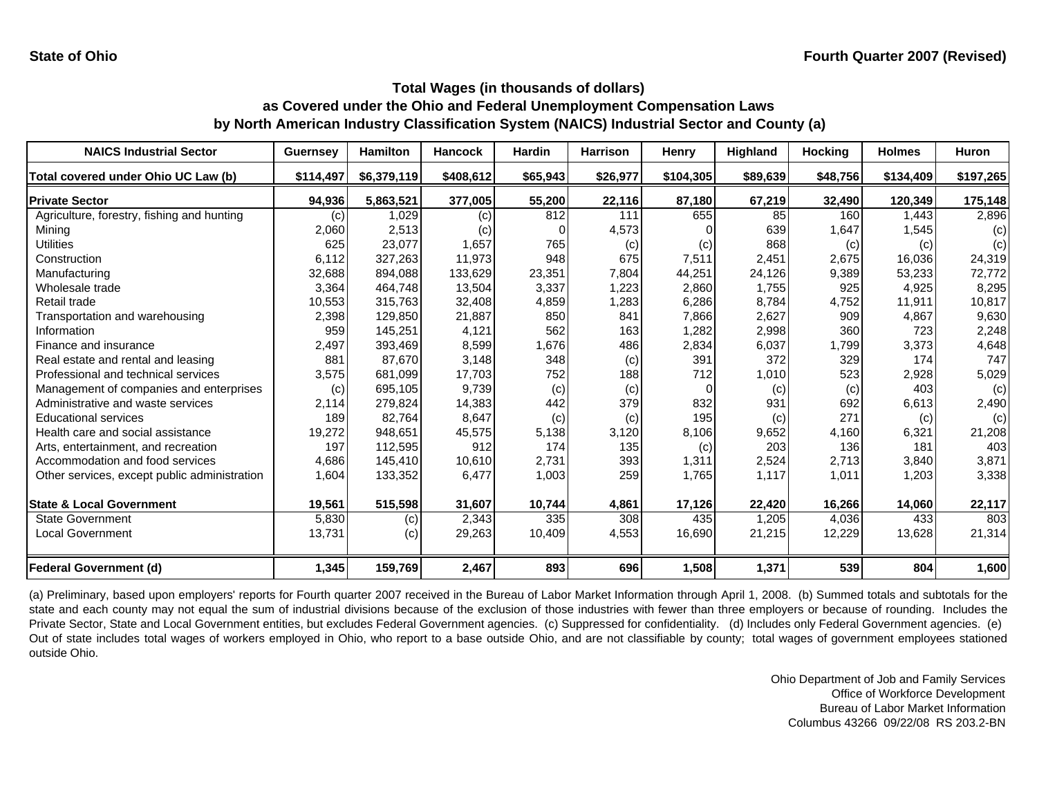| <b>NAICS Industrial Sector</b>               | <b>Guernsey</b> | <b>Hamilton</b> | <b>Hancock</b> | <b>Hardin</b> | <b>Harrison</b> | Henry     | <b>Highland</b> | <b>Hocking</b> | <b>Holmes</b> | <b>Huron</b> |
|----------------------------------------------|-----------------|-----------------|----------------|---------------|-----------------|-----------|-----------------|----------------|---------------|--------------|
| Total covered under Ohio UC Law (b)          | \$114,497       | \$6,379,119     | \$408,612      | \$65,943      | \$26,977        | \$104,305 | \$89,639        | \$48,756       | \$134,409     | \$197,265    |
| <b>Private Sector</b>                        | 94,936          | 5,863,521       | 377,005        | 55,200        | 22,116          | 87,180    | 67,219          | 32,490         | 120,349       | 175,148      |
| Agriculture, forestry, fishing and hunting   | (c)             | 1.029           | (c)            | 812           | 111             | 655       | 85              | 160            | 1.443         | 2,896        |
| Mining                                       | 2,060           | 2,513           | (c)            |               | 4,573           |           | 639             | 1,647          | 1,545         | (c)          |
| <b>Utilities</b>                             | 625             | 23,077          | 1,657          | 765           | (c)             | (c)       | 868             | (c)            | (c)           | (c)          |
| Construction                                 | 6.112           | 327,263         | 11,973         | 948           | 675             | 7,511     | 2,451           | 2,675          | 16,036        | 24,319       |
| Manufacturing                                | 32,688          | 894,088         | 133,629        | 23,351        | 7,804           | 44,251    | 24,126          | 9,389          | 53,233        | 72,772       |
| Wholesale trade                              | 3,364           | 464,748         | 13,504         | 3,337         | 1,223           | 2,860     | 1,755           | 925            | 4,925         | 8,295        |
| Retail trade                                 | 10,553          | 315,763         | 32,408         | 4,859         | 1,283           | 6,286     | 8,784           | 4,752          | 11,911        | 10,817       |
| Transportation and warehousing               | 2,398           | 129,850         | 21,887         | 850           | 841             | 7,866     | 2,627           | 909            | 4,867         | 9,630        |
| Information                                  | 959             | 145,251         | 4,121          | 562           | 163             | 1,282     | 2,998           | 360            | 723           | 2,248        |
| Finance and insurance                        | 2,497           | 393,469         | 8,599          | 1,676         | 486             | 2,834     | 6,037           | 1,799          | 3,373         | 4,648        |
| Real estate and rental and leasing           | 881             | 87,670          | 3,148          | 348           | (c)             | 391       | 372             | 329            | 174           | 747          |
| Professional and technical services          | 3,575           | 681,099         | 17,703         | 752           | 188             | 712       | 1,010           | 523            | 2,928         | 5,029        |
| Management of companies and enterprises      | (c)             | 695,105         | 9,739          | (c)           | (c)             | $\Omega$  | (c)             | (c)            | 403           | (c)          |
| Administrative and waste services            | 2,114           | 279,824         | 14,383         | 442           | 379             | 832       | 931             | 692            | 6,613         | 2,490        |
| <b>Educational services</b>                  | 189             | 82,764          | 8,647          | (c)           | (c)             | 195       | (c)             | 271            | (c)           | (c)          |
| Health care and social assistance            | 19,272          | 948,651         | 45,575         | 5,138         | 3,120           | 8,106     | 9,652           | 4,160          | 6,321         | 21,208       |
| Arts, entertainment, and recreation          | 197             | 112,595         | 912            | 174           | 135             | (c)       | 203             | 136            | 181           | 403          |
| Accommodation and food services              | 4,686           | 145,410         | 10,610         | 2,731         | 393             | 1,311     | 2,524           | 2,713          | 3,840         | 3,871        |
| Other services, except public administration | 1,604           | 133,352         | 6,477          | 1,003         | 259             | 1,765     | 1,117           | 1,011          | 1,203         | 3,338        |
| <b>State &amp; Local Government</b>          | 19,561          | 515,598         | 31,607         | 10,744        | 4,861           | 17,126    | 22,420          | 16,266         | 14,060        | 22,117       |
| <b>State Government</b>                      | 5,830           | (c)             | 2,343          | 335           | 308             | 435       | 1,205           | 4,036          | 433           | 803          |
| Local Government                             | 13,731          | (c)             | 29,263         | 10,409        | 4,553           | 16,690    | 21,215          | 12,229         | 13,628        | 21,314       |
| <b>Federal Government (d)</b>                | 1,345           | 159,769         | 2,467          | 893           | 696             | 1,508     | 1,371           | 539            | 804           | 1,600        |

(a) Preliminary, based upon employers' reports for Fourth quarter 2007 received in the Bureau of Labor Market Information through April 1, 2008. (b) Summed totals and subtotals for the state and each county may not equal the sum of industrial divisions because of the exclusion of those industries with fewer than three employers or because of rounding. Includes the Private Sector, State and Local Government entities, but excludes Federal Government agencies. (c) Suppressed for confidentiality. (d) Includes only Federal Government agencies. (e) Out of state includes total wages of workers employed in Ohio, who report to <sup>a</sup> base outside Ohio, and are not classifiable by county; total wages of government employees stationed outside Ohio.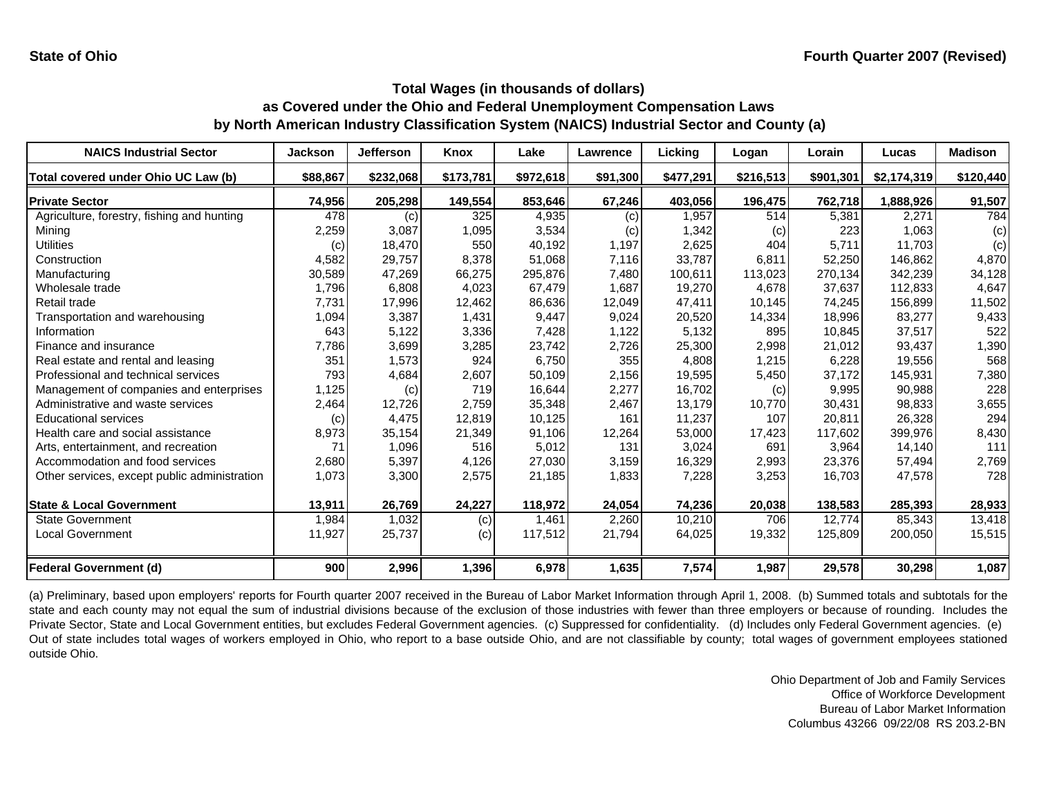| <b>NAICS Industrial Sector</b>               | <b>Jackson</b> | Jefferson | <b>Knox</b> | Lake      | Lawrence | Licking   | Logan     | Lorain    | Lucas       | <b>Madison</b> |
|----------------------------------------------|----------------|-----------|-------------|-----------|----------|-----------|-----------|-----------|-------------|----------------|
| Total covered under Ohio UC Law (b)          | \$88,867       | \$232,068 | \$173,781   | \$972,618 | \$91,300 | \$477,291 | \$216,513 | \$901,301 | \$2,174,319 | \$120,440      |
| <b>Private Sector</b>                        | 74,956         | 205,298   | 149,554     | 853,646   | 67,246   | 403,056   | 196,475   | 762,718   | 1,888,926   | 91,507         |
| Agriculture, forestry, fishing and hunting   | 478            | (c)       | 325         | 4,935     | (c)      | 1,957     | 514       | 5,381     | 2,271       | 784            |
| Mining                                       | 2,259          | 3,087     | 1,095       | 3,534     | (c)      | 1,342     | (c)       | 223       | 1,063       | (c)            |
| Utilities                                    | (c)            | 18,470    | 550         | 40,192    | 1,197    | 2,625     | 404       | 5,711     | 11,703      | (c)            |
| Construction                                 | 4,582          | 29,757    | 8,378       | 51,068    | 7,116    | 33,787    | 6,811     | 52,250    | 146,862     | 4,870          |
| Manufacturing                                | 30,589         | 47,269    | 66,275      | 295,876   | 7,480    | 100,611   | 113,023   | 270,134   | 342,239     | 34,128         |
| Wholesale trade                              | 1,796          | 6,808     | 4,023       | 67,479    | 1,687    | 19,270    | 4.678     | 37.637    | 112,833     | 4,647          |
| Retail trade                                 | 7,731          | 17,996    | 12,462      | 86,636    | 12,049   | 47,411    | 10.145    | 74,245    | 156,899     | 11,502         |
| Transportation and warehousing               | 1,094          | 3,387     | 1,431       | 9,447     | 9,024    | 20,520    | 14,334    | 18,996    | 83,277      | 9,433          |
| Information                                  | 643            | 5,122     | 3,336       | 7,428     | 1,122    | 5,132     | 895       | 10.845    | 37,517      | 522            |
| Finance and insurance                        | 7,786          | 3,699     | 3,285       | 23,742    | 2,726    | 25,300    | 2,998     | 21.012    | 93,437      | 1,390          |
| Real estate and rental and leasing           | 351            | 1,573     | 924         | 6,750     | 355      | 4,808     | 1,215     | 6,228     | 19,556      | 568            |
| Professional and technical services          | 793            | 4,684     | 2,607       | 50,109    | 2,156    | 19,595    | 5,450     | 37,172    | 145,931     | 7,380          |
| Management of companies and enterprises      | 1,125          | (c)       | 719         | 16,644    | 2,277    | 16,702    | (c)       | 9,995     | 90,988      | 228            |
| Administrative and waste services            | 2,464          | 12,726    | 2,759       | 35,348    | 2,467    | 13,179    | 10,770    | 30,431    | 98,833      | 3,655          |
| <b>Educational services</b>                  | (c)            | 4,475     | 12,819      | 10,125    | 161      | 11,237    | 107       | 20,811    | 26,328      | 294            |
| Health care and social assistance            | 8,973          | 35,154    | 21,349      | 91,106    | 12,264   | 53,000    | 17,423    | 117,602   | 399,976     | 8,430          |
| Arts, entertainment, and recreation          | 71             | 1,096     | 516         | 5,012     | 131      | 3,024     | 691       | 3,964     | 14,140      | 111            |
| Accommodation and food services              | 2,680          | 5,397     | 4,126       | 27,030    | 3,159    | 16,329    | 2,993     | 23,376    | 57,494      | 2,769          |
| Other services, except public administration | 1,073          | 3,300     | 2,575       | 21,185    | 1,833    | 7,228     | 3,253     | 16,703    | 47,578      | 728            |
| <b>State &amp; Local Government</b>          | 13,911         | 26,769    | 24,227      | 118,972   | 24,054   | 74,236    | 20,038    | 138,583   | 285,393     | 28,933         |
| <b>State Government</b>                      | 1,984          | 1,032     | (c)         | 1,461     | 2,260    | 10,210    | 706       | 12.774    | 85,343      | 13,418         |
| <b>Local Government</b>                      | 11,927         | 25,737    | (c)         | 117,512   | 21,794   | 64,025    | 19,332    | 125,809   | 200,050     | 15,515         |
| <b>Federal Government (d)</b>                | 900            | 2,996     | 1,396       | 6,978     | 1,635    | 7,574     | 1,987     | 29,578    | 30,298      | 1,087          |

(a) Preliminary, based upon employers' reports for Fourth quarter 2007 received in the Bureau of Labor Market Information through April 1, 2008. (b) Summed totals and subtotals for the state and each county may not equal the sum of industrial divisions because of the exclusion of those industries with fewer than three employers or because of rounding. Includes the Private Sector, State and Local Government entities, but excludes Federal Government agencies. (c) Suppressed for confidentiality. (d) Includes only Federal Government agencies. (e) Out of state includes total wages of workers employed in Ohio, who report to <sup>a</sup> base outside Ohio, and are not classifiable by county; total wages of government employees stationed outside Ohio.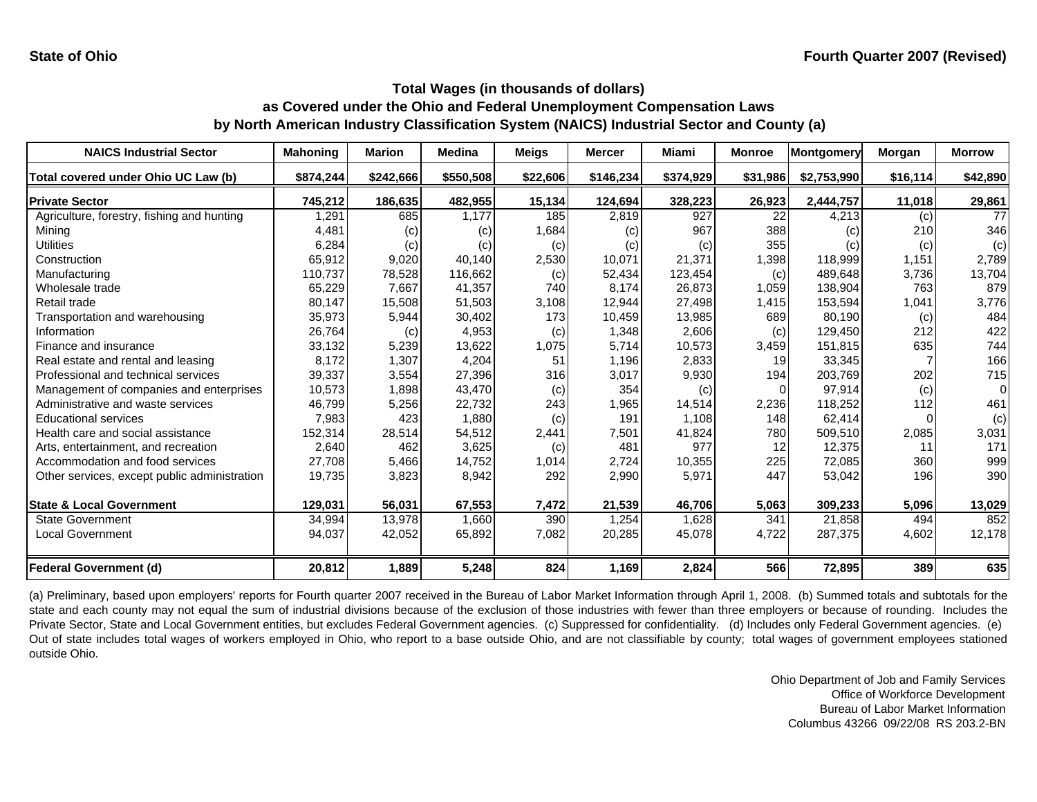| <b>NAICS Industrial Sector</b>               | <b>Mahoning</b> | <b>Marion</b> | <b>Medina</b> | <b>Meigs</b> | <b>Mercer</b> | Miami     | <b>Monroe</b> | Montgomery  | Morgan   | <b>Morrow</b> |
|----------------------------------------------|-----------------|---------------|---------------|--------------|---------------|-----------|---------------|-------------|----------|---------------|
| Total covered under Ohio UC Law (b)          | \$874,244       | \$242,666     | \$550,508     | \$22,606     | \$146,234     | \$374,929 | \$31,986      | \$2,753,990 | \$16,114 | \$42,890      |
| <b>Private Sector</b>                        | 745,212         | 186,635       | 482,955       | 15,134       | 124,694       | 328,223   | 26,923        | 2,444,757   | 11,018   | 29,861        |
| Agriculture, forestry, fishing and hunting   | 1,291           | 685           | 1.177         | 185          | 2,819         | 927       | 22            | 4,213       | (c)      | 77            |
| Mining                                       | 4,481           | (c)           | (c)           | 1,684        | (c)           | 967       | 388           | (c)         | 210      | 346           |
| Utilities                                    | 6,284           | (c)           | (c)           | (c)          | (c)           | (c)       | 355           | (c)         | (c)      | (c)           |
| Construction                                 | 65,912          | 9,020         | 40,140        | 2,530        | 10,071        | 21,371    | 1,398         | 118,999     | 1,151    | 2,789         |
| Manufacturing                                | 110,737         | 78,528        | 116,662       | (c)          | 52,434        | 123,454   | (c)           | 489,648     | 3,736    | 13,704        |
| Wholesale trade                              | 65,229          | 7,667         | 41,357        | 740          | 8,174         | 26,873    | 1,059         | 138,904     | 763      | 879           |
| Retail trade                                 | 80,147          | 15,508        | 51,503        | 3,108        | 12,944        | 27,498    | 1,415         | 153,594     | 1,041    | 3,776         |
| Transportation and warehousing               | 35,973          | 5,944         | 30,402        | 173          | 10,459        | 13,985    | 689           | 80,190      | (c)      | 484           |
| Information                                  | 26,764          | (c)           | 4,953         | (c)          | 1,348         | 2,606     | (c)           | 129,450     | 212      | 422           |
| Finance and insurance                        | 33,132          | 5,239         | 13,622        | 1,075        | 5,714         | 10,573    | 3,459         | 151,815     | 635      | 744           |
| Real estate and rental and leasing           | 8,172           | 1,307         | 4,204         | 51           | 1,196         | 2,833     | 19            | 33,345      |          | 166           |
| Professional and technical services          | 39,337          | 3,554         | 27,396        | 316          | 3,017         | 9,930     | 194           | 203,769     | 202      | 715           |
| Management of companies and enterprises      | 10,573          | 1,898         | 43,470        | (c)          | 354           | (c)       | $\Omega$      | 97,914      | (c)      | $\Omega$      |
| Administrative and waste services            | 46,799          | 5,256         | 22,732        | 243          | 1,965         | 14,514    | 2,236         | 118,252     | 112      | 461           |
| <b>Educational services</b>                  | 7,983           | 423           | 1,880         | (c)          | 191           | 1,108     | 148           | 62,414      |          | (c)           |
| Health care and social assistance            | 152,314         | 28,514        | 54,512        | 2,441        | 7,501         | 41,824    | 780           | 509,510     | 2,085    | 3,031         |
| Arts, entertainment, and recreation          | 2,640           | 462           | 3,625         | (c)          | 481           | 977       | 12            | 12,375      | 11       | 171           |
| Accommodation and food services              | 27,708          | 5,466         | 14,752        | 1,014        | 2,724         | 10,355    | 225           | 72,085      | 360      | 999           |
| Other services, except public administration | 19,735          | 3,823         | 8,942         | 292          | 2,990         | 5,971     | 447           | 53,042      | 196      | 390           |
| <b>State &amp; Local Government</b>          | 129,031         | 56,031        | 67,553        | 7,472        | 21,539        | 46,706    | 5,063         | 309,233     | 5,096    | 13,029        |
| <b>State Government</b>                      | 34,994          | 13,978        | 1,660         | 390          | 1,254         | 1,628     | 341           | 21,858      | 494      | 852           |
| <b>Local Government</b>                      | 94,037          | 42,052        | 65,892        | 7,082        | 20,285        | 45,078    | 4,722         | 287,375     | 4,602    | 12,178        |
| <b>Federal Government (d)</b>                | 20,812          | 1,889         | 5,248         | 824          | 1,169         | 2,824     | 566           | 72,895      | 389      | 635           |

(a) Preliminary, based upon employers' reports for Fourth quarter 2007 received in the Bureau of Labor Market Information through April 1, 2008. (b) Summed totals and subtotals for the state and each county may not equal the sum of industrial divisions because of the exclusion of those industries with fewer than three employers or because of rounding. Includes the Private Sector, State and Local Government entities, but excludes Federal Government agencies. (c) Suppressed for confidentiality. (d) Includes only Federal Government agencies. (e) Out of state includes total wages of workers employed in Ohio, who report to <sup>a</sup> base outside Ohio, and are not classifiable by county; total wages of government employees stationed outside Ohio.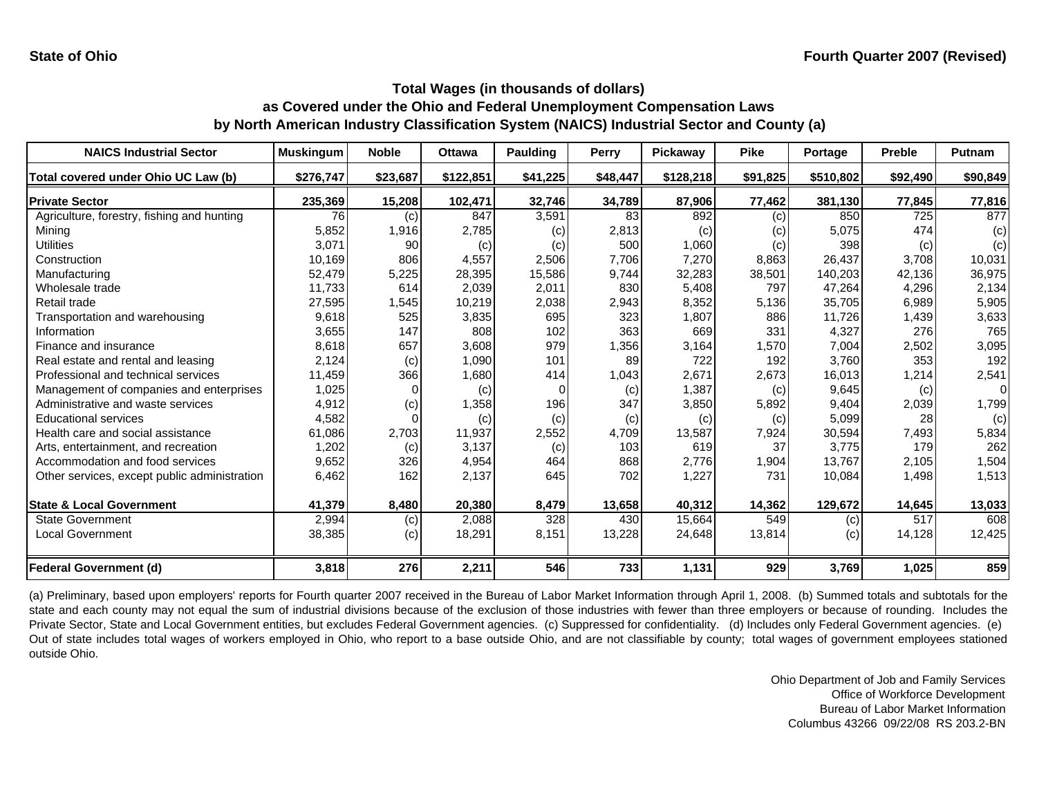| <b>NAICS Industrial Sector</b>               | <b>Muskingum</b> | <b>Noble</b> | <b>Ottawa</b> | Paulding | <b>Perry</b> | Pickaway  | <b>Pike</b> | Portage   | <b>Preble</b> | Putnam   |
|----------------------------------------------|------------------|--------------|---------------|----------|--------------|-----------|-------------|-----------|---------------|----------|
| Total covered under Ohio UC Law (b)          | \$276,747        | \$23,687     | \$122,851     | \$41,225 | \$48,447     | \$128,218 | \$91,825    | \$510,802 | \$92,490      | \$90,849 |
| <b>Private Sector</b>                        | 235,369          | 15,208       | 102,471       | 32,746   | 34,789       | 87,906    | 77,462      | 381,130   | 77,845        | 77,816   |
| Agriculture, forestry, fishing and hunting   | 76               | (c)          | 847           | 3,591    | 83           | 892       | (c)         | 850       | 725           | 877      |
| Mining                                       | 5,852            | 1,916        | 2,785         | (c)      | 2,813        | (c)       | (c)         | 5,075     | 474           | (c)      |
| <b>Utilities</b>                             | 3,071            | 90           | (c)           | (c)      | 500          | 1,060     | (c)         | 398       | (c)           | (c)      |
| Construction                                 | 10,169           | 806          | 4,557         | 2,506    | 7,706        | 7,270     | 8,863       | 26,437    | 3.708         | 10,031   |
| Manufacturing                                | 52,479           | 5,225        | 28,395        | 15,586   | 9,744        | 32,283    | 38,501      | 140,203   | 42,136        | 36,975   |
| Wholesale trade                              | 11,733           | 614          | 2,039         | 2,011    | 830          | 5,408     | 797         | 47,264    | 4.296         | 2,134    |
| Retail trade                                 | 27,595           | 1,545        | 10,219        | 2,038    | 2,943        | 8,352     | 5,136       | 35,705    | 6,989         | 5,905    |
| Transportation and warehousing               | 9,618            | 525          | 3,835         | 695      | 323          | 1,807     | 886         | 11,726    | 1,439         | 3,633    |
| Information                                  | 3,655            | 147          | 808           | 102      | 363          | 669       | 331         | 4,327     | 276           | 765      |
| Finance and insurance                        | 8,618            | 657          | 3,608         | 979      | 1,356        | 3,164     | 1,570       | 7,004     | 2,502         | 3,095    |
| Real estate and rental and leasing           | 2,124            | (c)          | 1,090         | 101      | 89           | 722       | 192         | 3,760     | 353           | 192      |
| Professional and technical services          | 11,459           | 366          | 1,680         | 414      | 1,043        | 2,671     | 2,673       | 16,013    | 1,214         | 2,541    |
| Management of companies and enterprises      | 1,025            |              | (c)           | $\Omega$ | (c)          | 1,387     | (c)         | 9,645     | (c)           | $\Omega$ |
| Administrative and waste services            | 4,912            | (c)          | 1,358         | 196      | 347          | 3,850     | 5,892       | 9,404     | 2,039         | 1,799    |
| <b>Educational services</b>                  | 4,582            |              | (c)           | (c)      | (c)          | (c)       | (c)         | 5,099     | 28            | (c)      |
| Health care and social assistance            | 61,086           | 2,703        | 11,937        | 2,552    | 4,709        | 13,587    | 7,924       | 30,594    | 7,493         | 5,834    |
| Arts, entertainment, and recreation          | 1,202            | (c)          | 3,137         | (c)      | 103          | 619       | 37          | 3.775     | 179           | 262      |
| Accommodation and food services              | 9,652            | 326          | 4,954         | 464      | 868          | 2,776     | 1,904       | 13,767    | 2,105         | 1,504    |
| Other services, except public administration | 6,462            | 162          | 2,137         | 645      | 702          | 1,227     | 731         | 10,084    | 1,498         | 1,513    |
| <b>State &amp; Local Government</b>          | 41,379           | 8,480        | 20,380        | 8,479    | 13,658       | 40,312    | 14,362      | 129,672   | 14,645        | 13,033   |
| <b>State Government</b>                      | 2,994            | (c)          | 2,088         | 328      | 430          | 15.664    | 549         | (c)       | 517           | 608      |
| <b>Local Government</b>                      | 38,385           | (c)          | 18,291        | 8,151    | 13,228       | 24,648    | 13,814      | (c)       | 14,128        | 12,425   |
| <b>Federal Government (d)</b>                | 3,818            | 276          | 2,211         | 546      | 733          | 1,131     | 929         | 3,769     | 1,025         | 859      |

(a) Preliminary, based upon employers' reports for Fourth quarter 2007 received in the Bureau of Labor Market Information through April 1, 2008. (b) Summed totals and subtotals for the state and each county may not equal the sum of industrial divisions because of the exclusion of those industries with fewer than three employers or because of rounding. Includes the Private Sector, State and Local Government entities, but excludes Federal Government agencies. (c) Suppressed for confidentiality. (d) Includes only Federal Government agencies. (e) Out of state includes total wages of workers employed in Ohio, who report to <sup>a</sup> base outside Ohio, and are not classifiable by county; total wages of government employees stationed outside Ohio.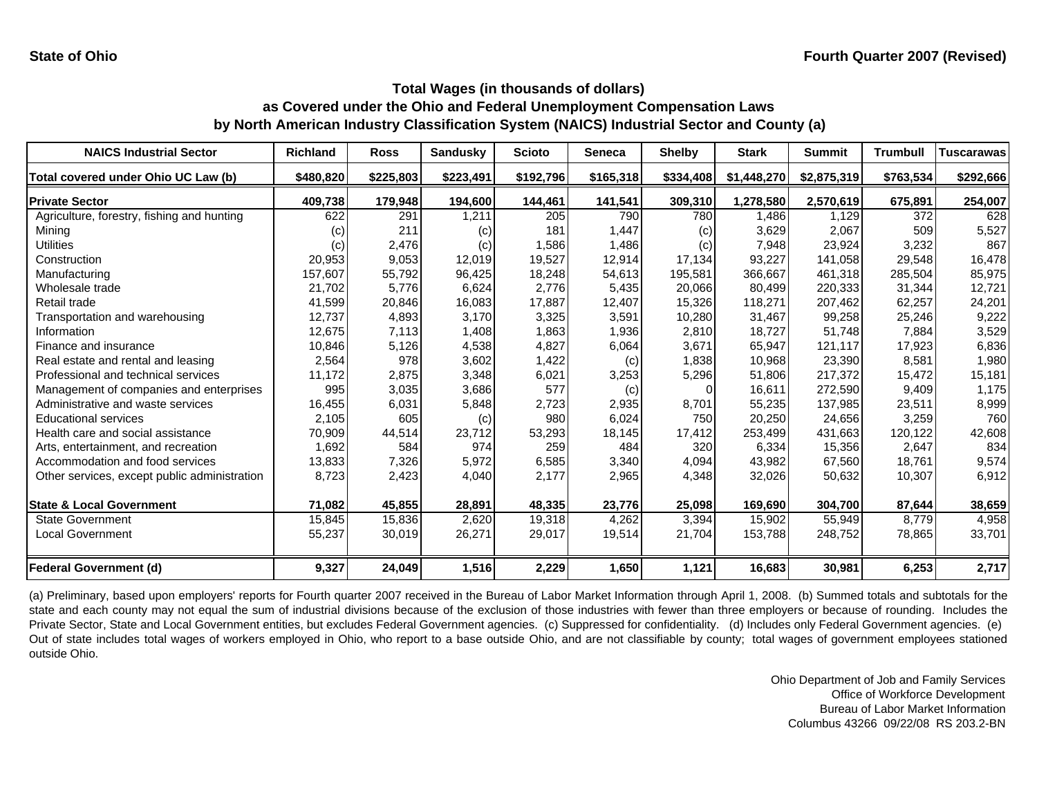| <b>NAICS Industrial Sector</b>               | <b>Richland</b> | <b>Ross</b> | <b>Sandusky</b> | <b>Scioto</b> | <b>Seneca</b> | <b>Shelby</b> | <b>Stark</b> | <b>Summit</b> | <b>Trumbull</b> | <b>Tuscarawas</b> |
|----------------------------------------------|-----------------|-------------|-----------------|---------------|---------------|---------------|--------------|---------------|-----------------|-------------------|
| Total covered under Ohio UC Law (b)          | \$480,820       | \$225,803   | \$223,491       | \$192,796     | \$165,318     | \$334,408     | \$1,448,270  | \$2,875,319   | \$763,534       | \$292,666         |
| <b>Private Sector</b>                        | 409,738         | 179,948     | 194,600         | 144,461       | 141,541       | 309,310       | 1,278,580    | 2,570,619     | 675,891         | 254,007           |
| Agriculture, forestry, fishing and hunting   | 622             | 291         | 1,211           | 205           | 790           | 780           | 1.486        | 1,129         | 372             | 628               |
| Mining                                       | (c)             | 211         | (c)             | 181           | 1,447         | (c)           | 3,629        | 2,067         | 509             | 5,527             |
| <b>Utilities</b>                             | (c)             | 2,476       | (c)             | 1,586         | 1,486         | (c)           | 7,948        | 23,924        | 3,232           | 867               |
| Construction                                 | 20,953          | 9,053       | 12,019          | 19,527        | 12,914        | 17,134        | 93,227       | 141,058       | 29,548          | 16,478            |
| Manufacturing                                | 157,607         | 55,792      | 96,425          | 18,248        | 54,613        | 195,581       | 366,667      | 461,318       | 285,504         | 85,975            |
| Wholesale trade                              | 21,702          | 5,776       | 6,624           | 2,776         | 5,435         | 20,066        | 80,499       | 220,333       | 31,344          | 12,721            |
| Retail trade                                 | 41,599          | 20,846      | 16,083          | 17,887        | 12,407        | 15,326        | 118,271      | 207,462       | 62,257          | 24,201            |
| Transportation and warehousing               | 12,737          | 4,893       | 3,170           | 3,325         | 3,591         | 10,280        | 31,467       | 99,258        | 25,246          | 9,222             |
| Information                                  | 12,675          | 7,113       | 1,408           | 1,863         | 1,936         | 2,810         | 18,727       | 51,748        | 7,884           | 3,529             |
| Finance and insurance                        | 10,846          | 5,126       | 4,538           | 4,827         | 6,064         | 3,671         | 65,947       | 121,117       | 17,923          | 6,836             |
| Real estate and rental and leasing           | 2,564           | 978         | 3,602           | 1,422         | (c)           | 1,838         | 10.968       | 23.390        | 8,581           | 1,980             |
| Professional and technical services          | 11,172          | 2,875       | 3,348           | 6,021         | 3,253         | 5,296         | 51,806       | 217,372       | 15,472          | 15,181            |
| Management of companies and enterprises      | 995             | 3,035       | 3,686           | 577           | (c)           | 0             | 16,611       | 272,590       | 9,409           | 1,175             |
| Administrative and waste services            | 16,455          | 6,031       | 5,848           | 2,723         | 2,935         | 8,701         | 55,235       | 137,985       | 23,511          | 8,999             |
| <b>Educational services</b>                  | 2,105           | 605         | (c)             | 980           | 6,024         | 750           | 20,250       | 24,656        | 3,259           | 760               |
| Health care and social assistance            | 70,909          | 44,514      | 23,712          | 53,293        | 18,145        | 17,412        | 253,499      | 431,663       | 120,122         | 42,608            |
| Arts, entertainment, and recreation          | 1,692           | 584         | 974             | 259           | 484           | 320           | 6,334        | 15,356        | 2,647           | 834               |
| Accommodation and food services              | 13,833          | 7,326       | 5,972           | 6,585         | 3,340         | 4,094         | 43,982       | 67,560        | 18.761          | 9,574             |
| Other services, except public administration | 8,723           | 2,423       | 4,040           | 2,177         | 2,965         | 4,348         | 32,026       | 50,632        | 10,307          | 6,912             |
| <b>State &amp; Local Government</b>          | 71,082          | 45,855      | 28,891          | 48,335        | 23,776        | 25,098        | 169,690      | 304,700       | 87,644          | 38,659            |
| <b>State Government</b>                      | 15,845          | 15,836      | 2,620           | 19,318        | 4,262         | 3,394         | 15,902       | 55,949        | 8.779           | 4,958             |
| Local Government                             | 55,237          | 30,019      | 26,271          | 29,017        | 19,514        | 21,704        | 153,788      | 248,752       | 78,865          | 33,701            |
| <b>Federal Government (d)</b>                | 9,327           | 24,049      | 1,516           | 2,229         | 1,650         | 1,121         | 16,683       | 30,981        | 6,253           | 2,717             |

(a) Preliminary, based upon employers' reports for Fourth quarter 2007 received in the Bureau of Labor Market Information through April 1, 2008. (b) Summed totals and subtotals for the state and each county may not equal the sum of industrial divisions because of the exclusion of those industries with fewer than three employers or because of rounding. Includes the Private Sector, State and Local Government entities, but excludes Federal Government agencies. (c) Suppressed for confidentiality. (d) Includes only Federal Government agencies. (e) Out of state includes total wages of workers employed in Ohio, who report to <sup>a</sup> base outside Ohio, and are not classifiable by county; total wages of government employees stationed outside Ohio.